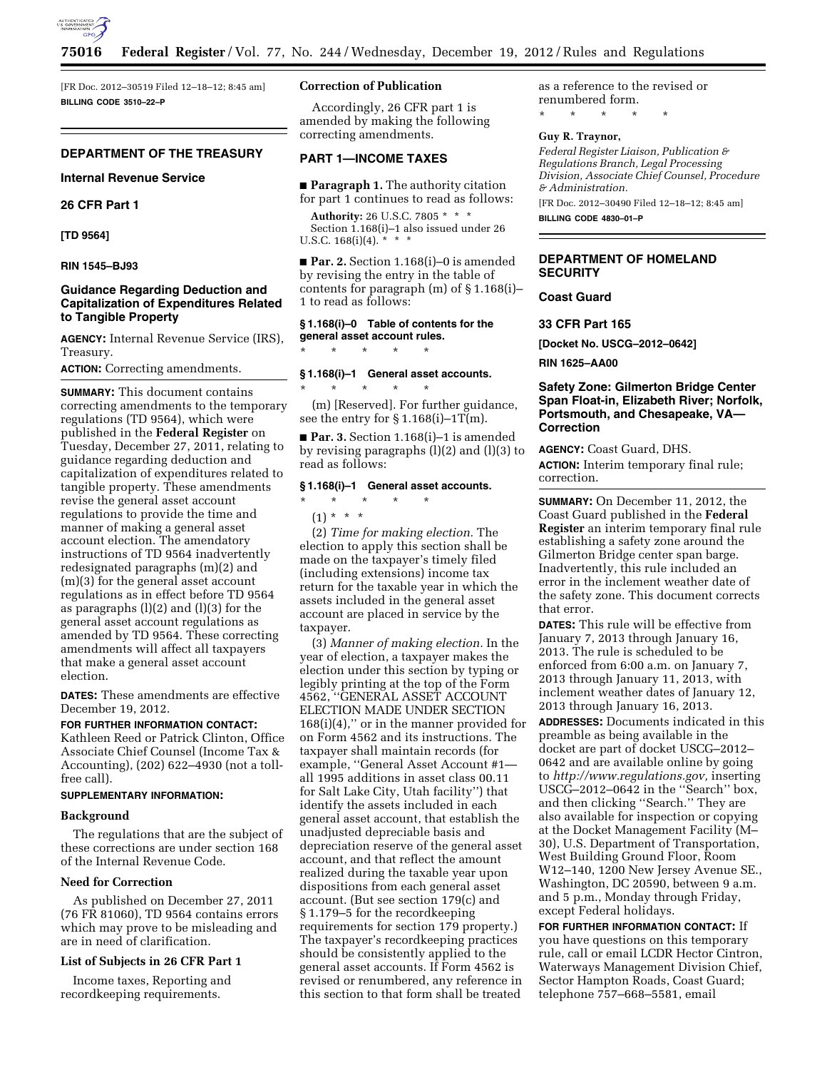

[FR Doc. 2012–30519 Filed 12–18–12; 8:45 am] **BILLING CODE 3510–22–P** 

# **DEPARTMENT OF THE TREASURY**

**Internal Revenue Service** 

**26 CFR Part 1** 

**[TD 9564]** 

#### **RIN 1545–BJ93**

# **Guidance Regarding Deduction and Capitalization of Expenditures Related to Tangible Property**

**AGENCY:** Internal Revenue Service (IRS), Treasury.

**ACTION:** Correcting amendments.

**SUMMARY:** This document contains correcting amendments to the temporary regulations (TD 9564), which were published in the **Federal Register** on Tuesday, December 27, 2011, relating to guidance regarding deduction and capitalization of expenditures related to tangible property. These amendments revise the general asset account regulations to provide the time and manner of making a general asset account election. The amendatory instructions of TD 9564 inadvertently redesignated paragraphs (m)(2) and (m)(3) for the general asset account regulations as in effect before TD 9564 as paragraphs (l)(2) and (l)(3) for the general asset account regulations as amended by TD 9564. These correcting amendments will affect all taxpayers that make a general asset account election.

**DATES:** These amendments are effective December 19, 2012.

#### **FOR FURTHER INFORMATION CONTACT:**

Kathleen Reed or Patrick Clinton, Office Associate Chief Counsel (Income Tax & Accounting), (202) 622–4930 (not a tollfree call).

# **SUPPLEMENTARY INFORMATION:**

#### **Background**

The regulations that are the subject of these corrections are under section 168 of the Internal Revenue Code.

#### **Need for Correction**

As published on December 27, 2011 (76 FR 81060), TD 9564 contains errors which may prove to be misleading and are in need of clarification.

#### **List of Subjects in 26 CFR Part 1**

Income taxes, Reporting and recordkeeping requirements.

#### **Correction of Publication**

Accordingly, 26 CFR part 1 is amended by making the following correcting amendments.

### **PART 1—INCOME TAXES**

■ **Paragraph 1.** The authority citation for part 1 continues to read as follows:

**Authority:** 26 U.S.C. 7805 \* \* \* Section 1.168(i)–1 also issued under 26 U.S.C.  $168(i)(4)$ . \*

■ **Par. 2.** Section 1.168(i)–0 is amended by revising the entry in the table of contents for paragraph (m) of § 1.168(i)– 1 to read as follows:

# **§ 1.168(i)–0 Table of contents for the general asset account rules.**

\* \* \* \* \*

# **§ 1.168(i)–1 General asset accounts.**

\* \* \* \* \* (m) [Reserved]. For further guidance, see the entry for  $\S 1.168(i)-1T(m)$ .

■ **Par. 3.** Section 1.168(i)–1 is amended by revising paragraphs (l)(2) and (l)(3) to read as follows:

### **§ 1.168(i)–1 General asset accounts.**

# $(1) * * * *$

 $\star$   $\star$   $\star$ 

(2) *Time for making election.* The election to apply this section shall be made on the taxpayer's timely filed (including extensions) income tax return for the taxable year in which the assets included in the general asset account are placed in service by the taxpayer.

(3) *Manner of making election.* In the year of election, a taxpayer makes the election under this section by typing or legibly printing at the top of the Form 4562, ''GENERAL ASSET ACCOUNT ELECTION MADE UNDER SECTION  $168(i)(4)$ ," or in the manner provided for on Form 4562 and its instructions. The taxpayer shall maintain records (for example, ''General Asset Account #1 all 1995 additions in asset class 00.11 for Salt Lake City, Utah facility'') that identify the assets included in each general asset account, that establish the unadjusted depreciable basis and depreciation reserve of the general asset account, and that reflect the amount realized during the taxable year upon dispositions from each general asset account. (But see section 179(c) and § 1.179–5 for the recordkeeping requirements for section 179 property.) The taxpayer's recordkeeping practices should be consistently applied to the general asset accounts. If Form 4562 is revised or renumbered, any reference in this section to that form shall be treated

as a reference to the revised or renumbered form. \* \* \* \* \*

#### **Guy R. Traynor,**

*Federal Register Liaison, Publication & Regulations Branch, Legal Processing Division, Associate Chief Counsel, Procedure & Administration.* 

[FR Doc. 2012–30490 Filed 12–18–12; 8:45 am] **BILLING CODE 4830–01–P** 

# **DEPARTMENT OF HOMELAND SECURITY**

## **Coast Guard**

**33 CFR Part 165** 

**[Docket No. USCG–2012–0642]** 

**RIN 1625–AA00** 

# **Safety Zone: Gilmerton Bridge Center Span Float-in, Elizabeth River; Norfolk, Portsmouth, and Chesapeake, VA— Correction**

**AGENCY:** Coast Guard, DHS.

**ACTION:** Interim temporary final rule; correction.

**SUMMARY:** On December 11, 2012, the Coast Guard published in the **Federal Register** an interim temporary final rule establishing a safety zone around the Gilmerton Bridge center span barge. Inadvertently, this rule included an error in the inclement weather date of the safety zone. This document corrects that error.

**DATES:** This rule will be effective from January 7, 2013 through January 16, 2013. The rule is scheduled to be enforced from 6:00 a.m. on January 7, 2013 through January 11, 2013, with inclement weather dates of January 12, 2013 through January 16, 2013.

**ADDRESSES:** Documents indicated in this preamble as being available in the docket are part of docket USCG–2012– 0642 and are available online by going to *[http://www.regulations.gov,](http://www.regulations.gov)* inserting USCG–2012–0642 in the ''Search'' box, and then clicking ''Search.'' They are also available for inspection or copying at the Docket Management Facility (M– 30), U.S. Department of Transportation, West Building Ground Floor, Room W12–140, 1200 New Jersey Avenue SE., Washington, DC 20590, between 9 a.m. and 5 p.m., Monday through Friday, except Federal holidays.

**FOR FURTHER INFORMATION CONTACT:** If you have questions on this temporary rule, call or email LCDR Hector Cintron, Waterways Management Division Chief, Sector Hampton Roads, Coast Guard; telephone 757–668–5581, email